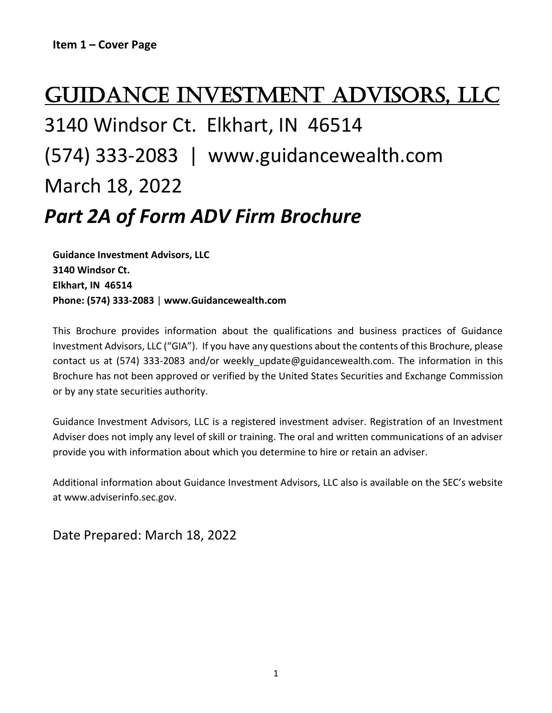# Guidance Investment Advisors, LLC

# 3140 Windsor Ct. Elkhart, IN 46514 (574) 333-2083 | www.guidancewealth.com March 18, 2022

# *Part 2A of Form ADV Firm Brochure*

**Guidance Investment Advisors, LLC 3140 Windsor Ct. Elkhart, IN 46514 Phone: (574) 333-2083** | **www.Guidancewealth.com**

This Brochure provides information about the qualifications and business practices of Guidance Investment Advisors, LLC ("GIA"). If you have any questions about the contents of this Brochure, please contact us at (574) 333-2083 and/or weekly update@guidancewealth.com. The information in this Brochure has not been approved or verified by the United States Securities and Exchange Commission or by any state securities authority.

Guidance Investment Advisors, LLC is a registered investment adviser. Registration of an Investment Adviser does not imply any level of skill or training. The oral and written communications of an adviser provide you with information about which you determine to hire or retain an adviser.

Additional information about Guidance Investment Advisors, LLC also is available on the SEC's website at www.adviserinfo.sec.gov.

Date Prepared: March 18, 2022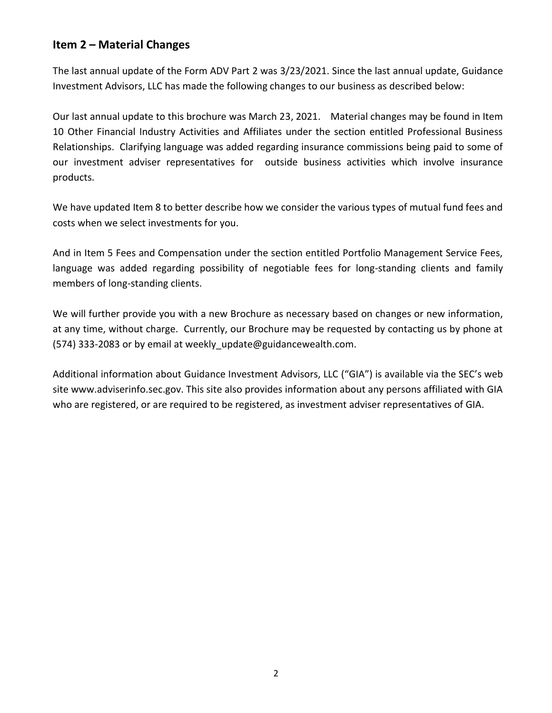# **Item 2 – Material Changes**

The last annual update of the Form ADV Part 2 was 3/23/2021. Since the last annual update, Guidance Investment Advisors, LLC has made the following changes to our business as described below:

Our last annual update to this brochure was March 23, 2021. Material changes may be found in Item 10 Other Financial Industry Activities and Affiliates under the section entitled Professional Business Relationships. Clarifying language was added regarding insurance commissions being paid to some of our investment adviser representatives for outside business activities which involve insurance products.

We have updated Item 8 to better describe how we consider the various types of mutual fund fees and costs when we select investments for you.

And in Item 5 Fees and Compensation under the section entitled Portfolio Management Service Fees, language was added regarding possibility of negotiable fees for long-standing clients and family members of long-standing clients.

We will further provide you with a new Brochure as necessary based on changes or new information, at any time, without charge. Currently, our Brochure may be requested by contacting us by phone at (574) 333-2083 or by email at weekly\_update@guidancewealth.com.

Additional information about Guidance Investment Advisors, LLC ("GIA") is available via the SEC's web site www.adviserinfo.sec.gov. This site also provides information about any persons affiliated with GIA who are registered, or are required to be registered, as investment adviser representatives of GIA.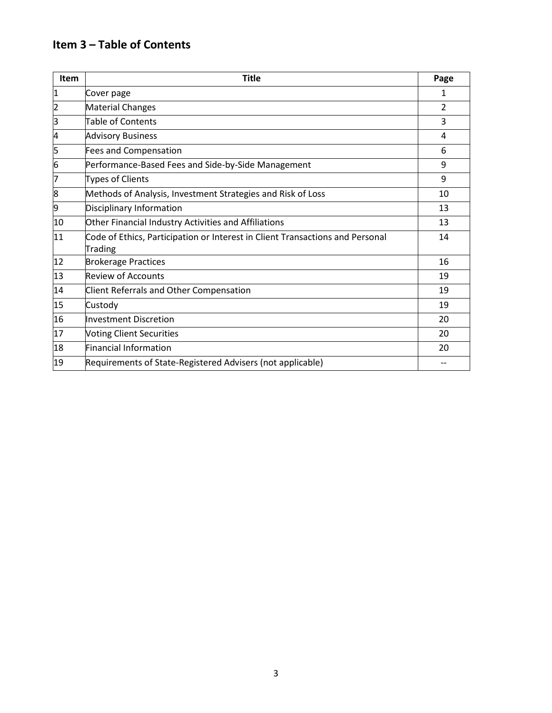# **Item 3 – Table of Contents**

| <b>Item</b> | <b>Title</b>                                                                             | Page |
|-------------|------------------------------------------------------------------------------------------|------|
| 1           | Cover page                                                                               | 1    |
| 2           | <b>Material Changes</b>                                                                  | 2    |
| 3           | <b>Table of Contents</b>                                                                 | 3    |
| 4           | <b>Advisory Business</b>                                                                 | 4    |
| 5           | <b>Fees and Compensation</b>                                                             | 6    |
| 6           | Performance-Based Fees and Side-by-Side Management                                       | 9    |
| 7           | <b>Types of Clients</b>                                                                  | 9    |
| 8           | Methods of Analysis, Investment Strategies and Risk of Loss                              | 10   |
| 9           | Disciplinary Information                                                                 | 13   |
| 10          | Other Financial Industry Activities and Affiliations                                     | 13   |
| 11          | Code of Ethics, Participation or Interest in Client Transactions and Personal<br>Trading | 14   |
| 12          | <b>Brokerage Practices</b>                                                               | 16   |
| 13          | <b>Review of Accounts</b>                                                                | 19   |
| 14          | <b>Client Referrals and Other Compensation</b>                                           | 19   |
| 15          | Custody                                                                                  | 19   |
| 16          | <b>Investment Discretion</b>                                                             | 20   |
| 17          | <b>Voting Client Securities</b>                                                          | 20   |
| 18          | <b>Financial Information</b>                                                             | 20   |
| 19          | Requirements of State-Registered Advisers (not applicable)                               |      |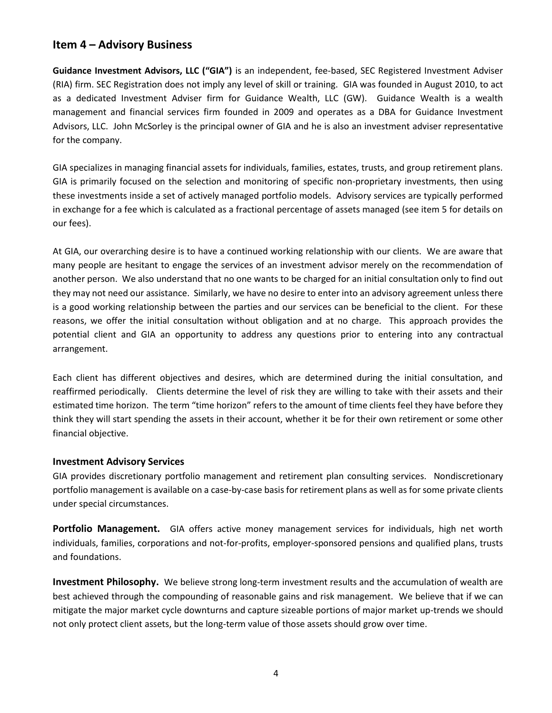# **Item 4 – Advisory Business**

**Guidance Investment Advisors, LLC ("GIA")** is an independent, fee-based, SEC Registered Investment Adviser (RIA) firm. SEC Registration does not imply any level of skill or training. GIA was founded in August 2010, to act as a dedicated Investment Adviser firm for Guidance Wealth, LLC (GW). Guidance Wealth is a wealth management and financial services firm founded in 2009 and operates as a DBA for Guidance Investment Advisors, LLC. John McSorley is the principal owner of GIA and he is also an investment adviser representative for the company.

GIA specializes in managing financial assets for individuals, families, estates, trusts, and group retirement plans. GIA is primarily focused on the selection and monitoring of specific non-proprietary investments, then using these investments inside a set of actively managed portfolio models. Advisory services are typically performed in exchange for a fee which is calculated as a fractional percentage of assets managed (see item 5 for details on our fees).

At GIA, our overarching desire is to have a continued working relationship with our clients. We are aware that many people are hesitant to engage the services of an investment advisor merely on the recommendation of another person. We also understand that no one wants to be charged for an initial consultation only to find out they may not need our assistance. Similarly, we have no desire to enter into an advisory agreement unless there is a good working relationship between the parties and our services can be beneficial to the client. For these reasons, we offer the initial consultation without obligation and at no charge. This approach provides the potential client and GIA an opportunity to address any questions prior to entering into any contractual arrangement.

Each client has different objectives and desires, which are determined during the initial consultation, and reaffirmed periodically. Clients determine the level of risk they are willing to take with their assets and their estimated time horizon. The term "time horizon" refers to the amount of time clients feel they have before they think they will start spending the assets in their account, whether it be for their own retirement or some other financial objective.

#### **Investment Advisory Services**

GIA provides discretionary portfolio management and retirement plan consulting services. Nondiscretionary portfolio management is available on a case-by-case basis for retirement plans as well as for some private clients under special circumstances.

**Portfolio Management.** GIA offers active money management services for individuals, high net worth individuals, families, corporations and not-for-profits, employer-sponsored pensions and qualified plans, trusts and foundations.

**Investment Philosophy.** We believe strong long-term investment results and the accumulation of wealth are best achieved through the compounding of reasonable gains and risk management. We believe that if we can mitigate the major market cycle downturns and capture sizeable portions of major market up-trends we should not only protect client assets, but the long-term value of those assets should grow over time.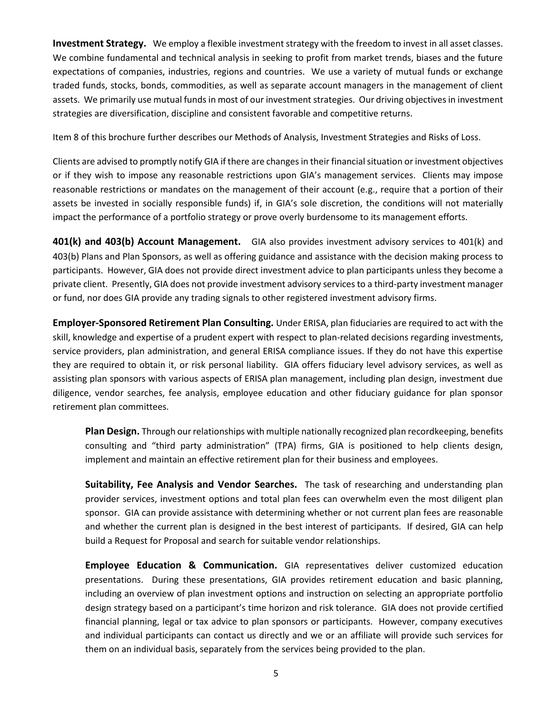**Investment Strategy.** We employ a flexible investment strategy with the freedom to invest in all asset classes. We combine fundamental and technical analysis in seeking to profit from market trends, biases and the future expectations of companies, industries, regions and countries. We use a variety of mutual funds or exchange traded funds, stocks, bonds, commodities, as well as separate account managers in the management of client assets. We primarily use mutual funds in most of our investment strategies. Our driving objectives in investment strategies are diversification, discipline and consistent favorable and competitive returns.

Item 8 of this brochure further describes our Methods of Analysis, Investment Strategies and Risks of Loss.

Clients are advised to promptly notify GIA if there are changes in their financial situation or investment objectives or if they wish to impose any reasonable restrictions upon GIA's management services. Clients may impose reasonable restrictions or mandates on the management of their account (e.g., require that a portion of their assets be invested in socially responsible funds) if, in GIA's sole discretion, the conditions will not materially impact the performance of a portfolio strategy or prove overly burdensome to its management efforts.

**401(k) and 403(b) Account Management.** GIA also provides investment advisory services to 401(k) and 403(b) Plans and Plan Sponsors, as well as offering guidance and assistance with the decision making process to participants. However, GIA does not provide direct investment advice to plan participants unless they become a private client. Presently, GIA does not provide investment advisory services to a third-party investment manager or fund, nor does GIA provide any trading signals to other registered investment advisory firms.

**Employer-Sponsored Retirement Plan Consulting.** Under ERISA, plan fiduciaries are required to act with the skill, knowledge and expertise of a prudent expert with respect to plan-related decisions regarding investments, service providers, plan administration, and general ERISA compliance issues. If they do not have this expertise they are required to obtain it, or risk personal liability. GIA offers fiduciary level advisory services, as well as assisting plan sponsors with various aspects of ERISA plan management, including plan design, investment due diligence, vendor searches, fee analysis, employee education and other fiduciary guidance for plan sponsor retirement plan committees.

**Plan Design.** Through our relationships with multiple nationally recognized plan recordkeeping, benefits consulting and "third party administration" (TPA) firms, GIA is positioned to help clients design, implement and maintain an effective retirement plan for their business and employees.

**Suitability, Fee Analysis and Vendor Searches.** The task of researching and understanding plan provider services, investment options and total plan fees can overwhelm even the most diligent plan sponsor. GIA can provide assistance with determining whether or not current plan fees are reasonable and whether the current plan is designed in the best interest of participants. If desired, GIA can help build a Request for Proposal and search for suitable vendor relationships.

**Employee Education & Communication.** GIA representatives deliver customized education presentations. During these presentations, GIA provides retirement education and basic planning, including an overview of plan investment options and instruction on selecting an appropriate portfolio design strategy based on a participant's time horizon and risk tolerance. GIA does not provide certified financial planning, legal or tax advice to plan sponsors or participants. However, company executives and individual participants can contact us directly and we or an affiliate will provide such services for them on an individual basis, separately from the services being provided to the plan.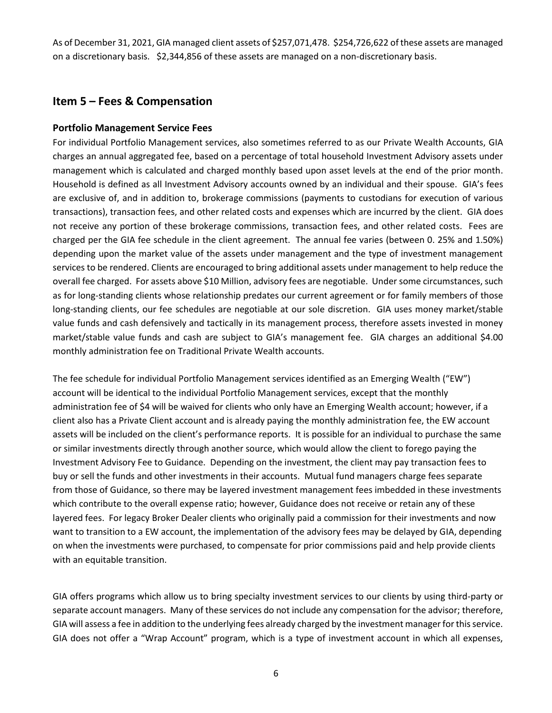As of December 31, 2021, GIA managed client assets of \$257,071,478. \$254,726,622 of these assets are managed on a discretionary basis. \$2,344,856 of these assets are managed on a non-discretionary basis.

# **Item 5 – Fees & Compensation**

#### **Portfolio Management Service Fees**

For individual Portfolio Management services, also sometimes referred to as our Private Wealth Accounts, GIA charges an annual aggregated fee, based on a percentage of total household Investment Advisory assets under management which is calculated and charged monthly based upon asset levels at the end of the prior month. Household is defined as all Investment Advisory accounts owned by an individual and their spouse. GIA's fees are exclusive of, and in addition to, brokerage commissions (payments to custodians for execution of various transactions), transaction fees, and other related costs and expenses which are incurred by the client. GIA does not receive any portion of these brokerage commissions, transaction fees, and other related costs. Fees are charged per the GIA fee schedule in the client agreement. The annual fee varies (between 0. 25% and 1.50%) depending upon the market value of the assets under management and the type of investment management services to be rendered. Clients are encouraged to bring additional assets under management to help reduce the overall fee charged. For assets above \$10 Million, advisory fees are negotiable. Under some circumstances, such as for long-standing clients whose relationship predates our current agreement or for family members of those long-standing clients, our fee schedules are negotiable at our sole discretion. GIA uses money market/stable value funds and cash defensively and tactically in its management process, therefore assets invested in money market/stable value funds and cash are subject to GIA's management fee. GIA charges an additional \$4.00 monthly administration fee on Traditional Private Wealth accounts.

The fee schedule for individual Portfolio Management services identified as an Emerging Wealth ("EW") account will be identical to the individual Portfolio Management services, except that the monthly administration fee of \$4 will be waived for clients who only have an Emerging Wealth account; however, if a client also has a Private Client account and is already paying the monthly administration fee, the EW account assets will be included on the client's performance reports. It is possible for an individual to purchase the same or similar investments directly through another source, which would allow the client to forego paying the Investment Advisory Fee to Guidance. Depending on the investment, the client may pay transaction fees to buy or sell the funds and other investments in their accounts. Mutual fund managers charge fees separate from those of Guidance, so there may be layered investment management fees imbedded in these investments which contribute to the overall expense ratio; however, Guidance does not receive or retain any of these layered fees. For legacy Broker Dealer clients who originally paid a commission for their investments and now want to transition to a EW account, the implementation of the advisory fees may be delayed by GIA, depending on when the investments were purchased, to compensate for prior commissions paid and help provide clients with an equitable transition.

GIA offers programs which allow us to bring specialty investment services to our clients by using third-party or separate account managers. Many of these services do not include any compensation for the advisor; therefore, GIA will assess a fee in addition to the underlying fees already charged by the investment manager for this service. GIA does not offer a "Wrap Account" program, which is a type of investment account in which all expenses,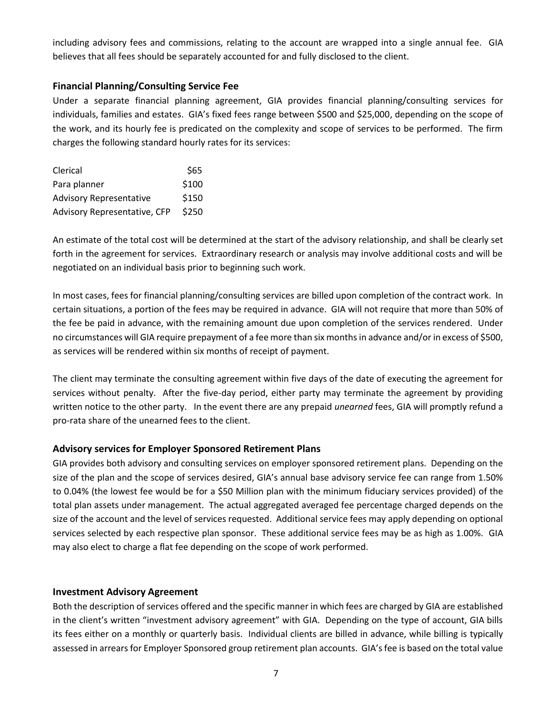including advisory fees and commissions, relating to the account are wrapped into a single annual fee. GIA believes that all fees should be separately accounted for and fully disclosed to the client.

#### **Financial Planning/Consulting Service Fee**

Under a separate financial planning agreement, GIA provides financial planning/consulting services for individuals, families and estates. GIA's fixed fees range between \$500 and \$25,000, depending on the scope of the work, and its hourly fee is predicated on the complexity and scope of services to be performed. The firm charges the following standard hourly rates for its services:

| Clerical                       | \$65  |
|--------------------------------|-------|
| Para planner                   | \$100 |
| <b>Advisory Representative</b> | \$150 |
| Advisory Representative, CFP   | \$250 |

An estimate of the total cost will be determined at the start of the advisory relationship, and shall be clearly set forth in the agreement for services. Extraordinary research or analysis may involve additional costs and will be negotiated on an individual basis prior to beginning such work.

In most cases, fees for financial planning/consulting services are billed upon completion of the contract work. In certain situations, a portion of the fees may be required in advance. GIA will not require that more than 50% of the fee be paid in advance, with the remaining amount due upon completion of the services rendered. Under no circumstances will GIA require prepayment of a fee more than six months in advance and/or in excess of \$500, as services will be rendered within six months of receipt of payment.

The client may terminate the consulting agreement within five days of the date of executing the agreement for services without penalty. After the five-day period, either party may terminate the agreement by providing written notice to the other party. In the event there are any prepaid *unearned* fees, GIA will promptly refund a pro-rata share of the unearned fees to the client.

#### **Advisory services for Employer Sponsored Retirement Plans**

GIA provides both advisory and consulting services on employer sponsored retirement plans. Depending on the size of the plan and the scope of services desired, GIA's annual base advisory service fee can range from 1.50% to 0.04% (the lowest fee would be for a \$50 Million plan with the minimum fiduciary services provided) of the total plan assets under management. The actual aggregated averaged fee percentage charged depends on the size of the account and the level of services requested. Additional service fees may apply depending on optional services selected by each respective plan sponsor. These additional service fees may be as high as 1.00%. GIA may also elect to charge a flat fee depending on the scope of work performed.

#### **Investment Advisory Agreement**

Both the description of services offered and the specific manner in which fees are charged by GIA are established in the client's written "investment advisory agreement" with GIA. Depending on the type of account, GIA bills its fees either on a monthly or quarterly basis. Individual clients are billed in advance, while billing is typically assessed in arrears for Employer Sponsored group retirement plan accounts. GIA's fee is based on the total value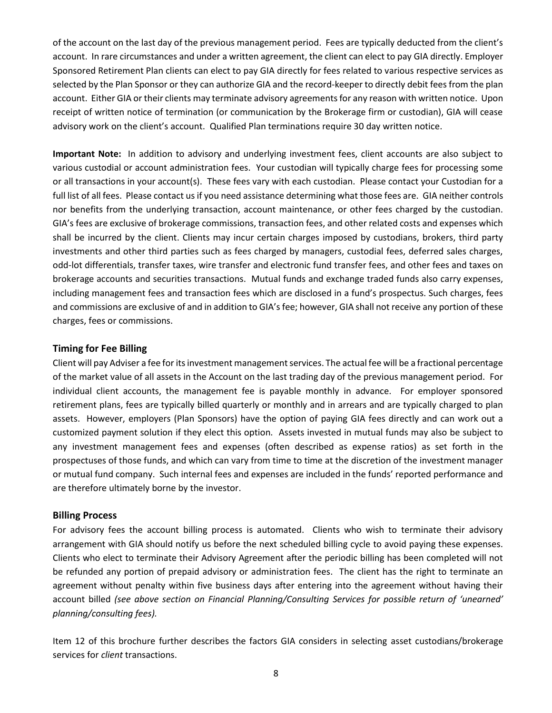of the account on the last day of the previous management period. Fees are typically deducted from the client's account. In rare circumstances and under a written agreement, the client can elect to pay GIA directly. Employer Sponsored Retirement Plan clients can elect to pay GIA directly for fees related to various respective services as selected by the Plan Sponsor or they can authorize GIA and the record-keeper to directly debit fees from the plan account. Either GIA or their clients may terminate advisory agreements for any reason with written notice. Upon receipt of written notice of termination (or communication by the Brokerage firm or custodian), GIA will cease advisory work on the client's account. Qualified Plan terminations require 30 day written notice.

**Important Note:** In addition to advisory and underlying investment fees, client accounts are also subject to various custodial or account administration fees. Your custodian will typically charge fees for processing some or all transactions in your account(s). These fees vary with each custodian. Please contact your Custodian for a full list of all fees. Please contact us if you need assistance determining what those fees are. GIA neither controls nor benefits from the underlying transaction, account maintenance, or other fees charged by the custodian. GIA's fees are exclusive of brokerage commissions, transaction fees, and other related costs and expenses which shall be incurred by the client. Clients may incur certain charges imposed by custodians, brokers, third party investments and other third parties such as fees charged by managers, custodial fees, deferred sales charges, odd-lot differentials, transfer taxes, wire transfer and electronic fund transfer fees, and other fees and taxes on brokerage accounts and securities transactions. Mutual funds and exchange traded funds also carry expenses, including management fees and transaction fees which are disclosed in a fund's prospectus. Such charges, fees and commissions are exclusive of and in addition to GIA's fee; however, GIA shall not receive any portion of these charges, fees or commissions.

#### **Timing for Fee Billing**

Client will pay Adviser a fee for its investment management services. The actual fee will be a fractional percentage of the market value of all assets in the Account on the last trading day of the previous management period. For individual client accounts, the management fee is payable monthly in advance. For employer sponsored retirement plans, fees are typically billed quarterly or monthly and in arrears and are typically charged to plan assets. However, employers (Plan Sponsors) have the option of paying GIA fees directly and can work out a customized payment solution if they elect this option. Assets invested in mutual funds may also be subject to any investment management fees and expenses (often described as expense ratios) as set forth in the prospectuses of those funds, and which can vary from time to time at the discretion of the investment manager or mutual fund company. Such internal fees and expenses are included in the funds' reported performance and are therefore ultimately borne by the investor.

#### **Billing Process**

For advisory fees the account billing process is automated. Clients who wish to terminate their advisory arrangement with GIA should notify us before the next scheduled billing cycle to avoid paying these expenses. Clients who elect to terminate their Advisory Agreement after the periodic billing has been completed will not be refunded any portion of prepaid advisory or administration fees. The client has the right to terminate an agreement without penalty within five business days after entering into the agreement without having their account billed *(see above section on Financial Planning/Consulting Services for possible return of 'unearned' planning/consulting fees).* 

Item 12 of this brochure further describes the factors GIA considers in selecting asset custodians/brokerage services for *client* transactions.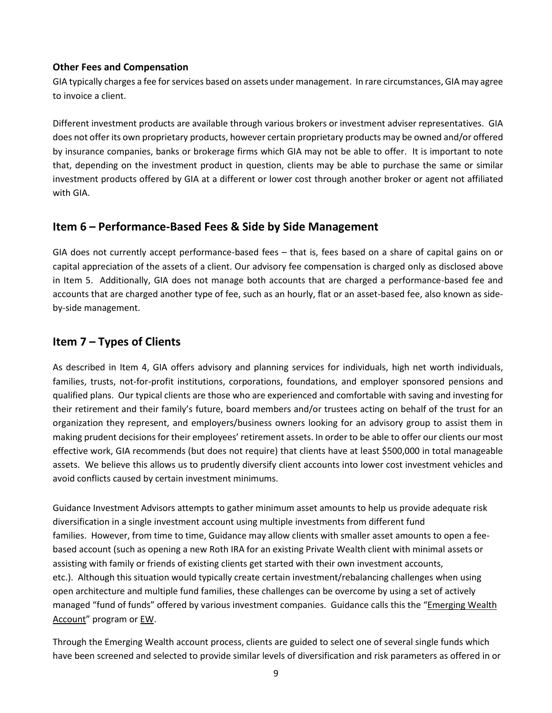#### **Other Fees and Compensation**

GIA typically charges a fee for services based on assets under management. In rare circumstances, GIA may agree to invoice a client.

Different investment products are available through various brokers or investment adviser representatives. GIA does not offer its own proprietary products, however certain proprietary products may be owned and/or offered by insurance companies, banks or brokerage firms which GIA may not be able to offer. It is important to note that, depending on the investment product in question, clients may be able to purchase the same or similar investment products offered by GIA at a different or lower cost through another broker or agent not affiliated with GIA.

# **Item 6 – Performance-Based Fees & Side by Side Management**

GIA does not currently accept performance-based fees – that is, fees based on a share of capital gains on or capital appreciation of the assets of a client. Our advisory fee compensation is charged only as disclosed above in Item 5. Additionally, GIA does not manage both accounts that are charged a performance-based fee and accounts that are charged another type of fee, such as an hourly, flat or an asset-based fee, also known as sideby-side management.

# **Item 7 – Types of Clients**

As described in Item 4, GIA offers advisory and planning services for individuals, high net worth individuals, families, trusts, not-for-profit institutions, corporations, foundations, and employer sponsored pensions and qualified plans. Our typical clients are those who are experienced and comfortable with saving and investing for their retirement and their family's future, board members and/or trustees acting on behalf of the trust for an organization they represent, and employers/business owners looking for an advisory group to assist them in making prudent decisions for their employees' retirement assets. In order to be able to offer our clients our most effective work, GIA recommends (but does not require) that clients have at least \$500,000 in total manageable assets. We believe this allows us to prudently diversify client accounts into lower cost investment vehicles and avoid conflicts caused by certain investment minimums.

Guidance Investment Advisors attempts to gather minimum asset amounts to help us provide adequate risk diversification in a single investment account using multiple investments from different fund families. However, from time to time, Guidance may allow clients with smaller asset amounts to open a feebased account (such as opening a new Roth IRA for an existing Private Wealth client with minimal assets or assisting with family or friends of existing clients get started with their own investment accounts, etc.). Although this situation would typically create certain investment/rebalancing challenges when using open architecture and multiple fund families, these challenges can be overcome by using a set of actively managed "fund of funds" offered by various investment companies. Guidance calls this the "Emerging Wealth Account" program or EW.

Through the Emerging Wealth account process, clients are guided to select one of several single funds which have been screened and selected to provide similar levels of diversification and risk parameters as offered in or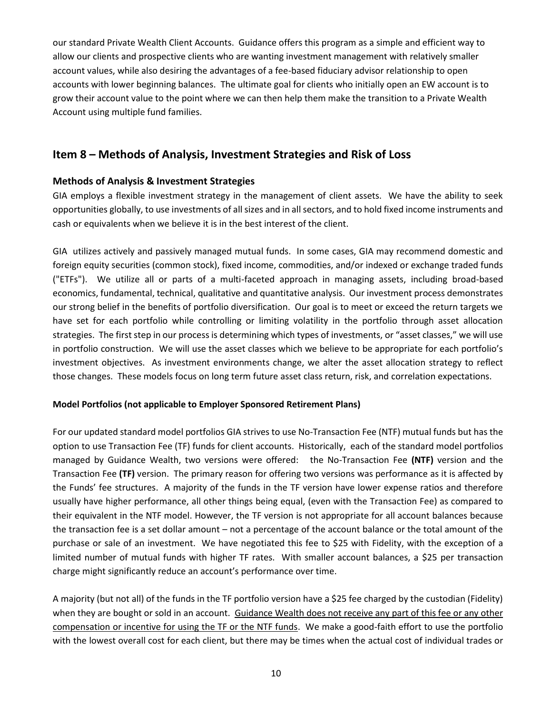our standard Private Wealth Client Accounts. Guidance offers this program as a simple and efficient way to allow our clients and prospective clients who are wanting investment management with relatively smaller account values, while also desiring the advantages of a fee-based fiduciary advisor relationship to open accounts with lower beginning balances. The ultimate goal for clients who initially open an EW account is to grow their account value to the point where we can then help them make the transition to a Private Wealth Account using multiple fund families.

# **Item 8 – Methods of Analysis, Investment Strategies and Risk of Loss**

#### **Methods of Analysis & Investment Strategies**

GIA employs a flexible investment strategy in the management of client assets. We have the ability to seek opportunities globally, to use investments of all sizes and in all sectors, and to hold fixed income instruments and cash or equivalents when we believe it is in the best interest of the client.

GIA utilizes actively and passively managed mutual funds. In some cases, GIA may recommend domestic and foreign equity securities (common stock), fixed income, commodities, and/or indexed or exchange traded funds ("ETFs"). We utilize all or parts of a multi-faceted approach in managing assets, including broad-based economics, fundamental, technical, qualitative and quantitative analysis. Our investment process demonstrates our strong belief in the benefits of portfolio diversification. Our goal is to meet or exceed the return targets we have set for each portfolio while controlling or limiting volatility in the portfolio through asset allocation strategies. The first step in our process is determining which types of investments, or "asset classes," we will use in portfolio construction. We will use the asset classes which we believe to be appropriate for each portfolio's investment objectives. As investment environments change, we alter the asset allocation strategy to reflect those changes. These models focus on long term future asset class return, risk, and correlation expectations.

#### **Model Portfolios (not applicable to Employer Sponsored Retirement Plans)**

For our updated standard model portfolios GIA strives to use No-Transaction Fee (NTF) mutual funds but has the option to use Transaction Fee (TF) funds for client accounts. Historically, each of the standard model portfolios managed by Guidance Wealth, two versions were offered: the No-Transaction Fee **(NTF)** version and the Transaction Fee **(TF)** version. The primary reason for offering two versions was performance as it is affected by the Funds' fee structures. A majority of the funds in the TF version have lower expense ratios and therefore usually have higher performance, all other things being equal, (even with the Transaction Fee) as compared to their equivalent in the NTF model. However, the TF version is not appropriate for all account balances because the transaction fee is a set dollar amount – not a percentage of the account balance or the total amount of the purchase or sale of an investment. We have negotiated this fee to \$25 with Fidelity, with the exception of a limited number of mutual funds with higher TF rates. With smaller account balances, a \$25 per transaction charge might significantly reduce an account's performance over time.

A majority (but not all) of the funds in the TF portfolio version have a \$25 fee charged by the custodian (Fidelity) when they are bought or sold in an account. Guidance Wealth does not receive any part of this fee or any other compensation or incentive for using the TF or the NTF funds. We make a good-faith effort to use the portfolio with the lowest overall cost for each client, but there may be times when the actual cost of individual trades or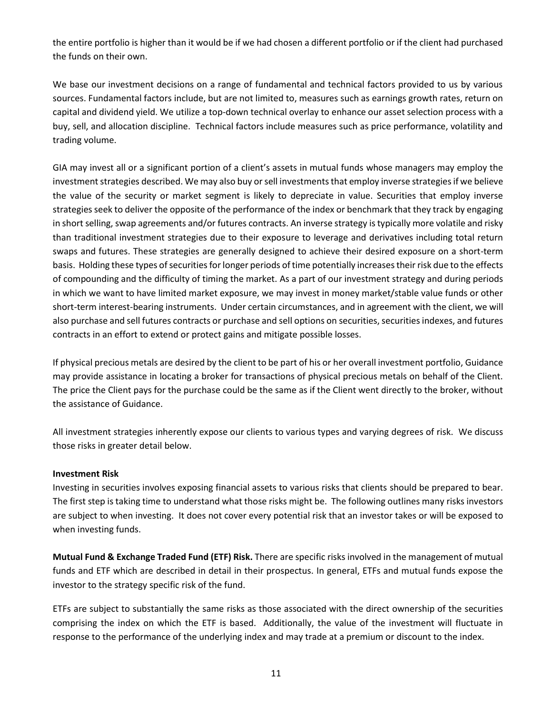the entire portfolio is higher than it would be if we had chosen a different portfolio or if the client had purchased the funds on their own.

We base our investment decisions on a range of fundamental and technical factors provided to us by various sources. Fundamental factors include, but are not limited to, measures such as earnings growth rates, return on capital and dividend yield. We utilize a top-down technical overlay to enhance our asset selection process with a buy, sell, and allocation discipline. Technical factors include measures such as price performance, volatility and trading volume.

GIA may invest all or a significant portion of a client's assets in mutual funds whose managers may employ the investment strategies described. We may also buy or sell investments that employ inverse strategies if we believe the value of the security or market segment is likely to depreciate in value. Securities that employ inverse strategies seek to deliver the opposite of the performance of the index or benchmark that they track by engaging in short selling, swap agreements and/or futures contracts. An inverse strategy is typically more volatile and risky than traditional investment strategies due to their exposure to leverage and derivatives including total return swaps and futures. These strategies are generally designed to achieve their desired exposure on a short-term basis. Holding these types of securities for longer periods of time potentially increases their risk due to the effects of compounding and the difficulty of timing the market. As a part of our investment strategy and during periods in which we want to have limited market exposure, we may invest in money market/stable value funds or other short-term interest-bearing instruments. Under certain circumstances, and in agreement with the client, we will also purchase and sell futures contracts or purchase and sell options on securities, securities indexes, and futures contracts in an effort to extend or protect gains and mitigate possible losses.

If physical precious metals are desired by the client to be part of his or her overall investment portfolio, Guidance may provide assistance in locating a broker for transactions of physical precious metals on behalf of the Client. The price the Client pays for the purchase could be the same as if the Client went directly to the broker, without the assistance of Guidance.

All investment strategies inherently expose our clients to various types and varying degrees of risk. We discuss those risks in greater detail below.

#### **Investment Risk**

Investing in securities involves exposing financial assets to various risks that clients should be prepared to bear. The first step is taking time to understand what those risks might be. The following outlines many risks investors are subject to when investing. It does not cover every potential risk that an investor takes or will be exposed to when investing funds.

**Mutual Fund & Exchange Traded Fund (ETF) Risk.** There are specific risks involved in the management of mutual funds and ETF which are described in detail in their prospectus. In general, ETFs and mutual funds expose the investor to the strategy specific risk of the fund.

ETFs are subject to substantially the same risks as those associated with the direct ownership of the securities comprising the index on which the ETF is based. Additionally, the value of the investment will fluctuate in response to the performance of the underlying index and may trade at a premium or discount to the index.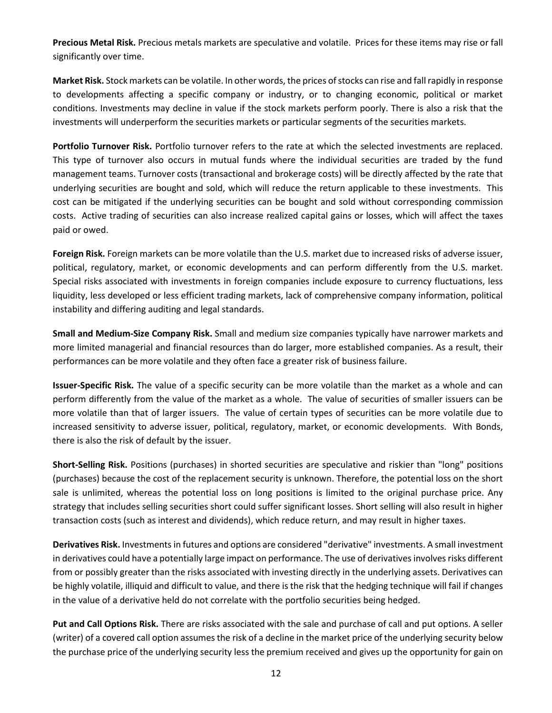**Precious Metal Risk.** Precious metals markets are speculative and volatile. Prices for these items may rise or fall significantly over time.

**Market Risk.** Stock markets can be volatile. In other words, the prices of stocks can rise and fall rapidly in response to developments affecting a specific company or industry, or to changing economic, political or market conditions. Investments may decline in value if the stock markets perform poorly. There is also a risk that the investments will underperform the securities markets or particular segments of the securities markets.

**Portfolio Turnover Risk.** Portfolio turnover refers to the rate at which the selected investments are replaced. This type of turnover also occurs in mutual funds where the individual securities are traded by the fund management teams. Turnover costs (transactional and brokerage costs) will be directly affected by the rate that underlying securities are bought and sold, which will reduce the return applicable to these investments. This cost can be mitigated if the underlying securities can be bought and sold without corresponding commission costs. Active trading of securities can also increase realized capital gains or losses, which will affect the taxes paid or owed.

**Foreign Risk.** Foreign markets can be more volatile than the U.S. market due to increased risks of adverse issuer, political, regulatory, market, or economic developments and can perform differently from the U.S. market. Special risks associated with investments in foreign companies include exposure to currency fluctuations, less liquidity, less developed or less efficient trading markets, lack of comprehensive company information, political instability and differing auditing and legal standards.

**Small and Medium-Size Company Risk.** Small and medium size companies typically have narrower markets and more limited managerial and financial resources than do larger, more established companies. As a result, their performances can be more volatile and they often face a greater risk of business failure.

**Issuer-Specific Risk.** The value of a specific security can be more volatile than the market as a whole and can perform differently from the value of the market as a whole. The value of securities of smaller issuers can be more volatile than that of larger issuers. The value of certain types of securities can be more volatile due to increased sensitivity to adverse issuer, political, regulatory, market, or economic developments. With Bonds, there is also the risk of default by the issuer.

**Short-Selling Risk.** Positions (purchases) in shorted securities are speculative and riskier than "long" positions (purchases) because the cost of the replacement security is unknown. Therefore, the potential loss on the short sale is unlimited, whereas the potential loss on long positions is limited to the original purchase price. Any strategy that includes selling securities short could suffer significant losses. Short selling will also result in higher transaction costs (such as interest and dividends), which reduce return, and may result in higher taxes.

**Derivatives Risk.** Investments in futures and options are considered "derivative" investments. A small investment in derivatives could have a potentially large impact on performance. The use of derivatives involves risks different from or possibly greater than the risks associated with investing directly in the underlying assets. Derivatives can be highly volatile, illiquid and difficult to value, and there is the risk that the hedging technique will fail if changes in the value of a derivative held do not correlate with the portfolio securities being hedged.

**Put and Call Options Risk.** There are risks associated with the sale and purchase of call and put options. A seller (writer) of a covered call option assumes the risk of a decline in the market price of the underlying security below the purchase price of the underlying security less the premium received and gives up the opportunity for gain on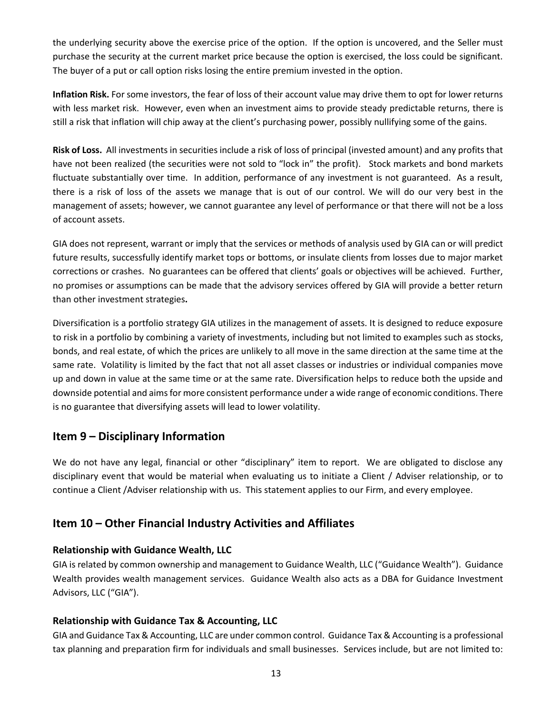the underlying security above the exercise price of the option. If the option is uncovered, and the Seller must purchase the security at the current market price because the option is exercised, the loss could be significant. The buyer of a put or call option risks losing the entire premium invested in the option.

**Inflation Risk.** For some investors, the fear of loss of their account value may drive them to opt for lower returns with less market risk. However, even when an investment aims to provide steady predictable returns, there is still a risk that inflation will chip away at the client's purchasing power, possibly nullifying some of the gains.

**Risk of Loss.** All investments in securities include a risk of loss of principal (invested amount) and any profits that have not been realized (the securities were not sold to "lock in" the profit). Stock markets and bond markets fluctuate substantially over time. In addition, performance of any investment is not guaranteed. As a result, there is a risk of loss of the assets we manage that is out of our control. We will do our very best in the management of assets; however, we cannot guarantee any level of performance or that there will not be a loss of account assets.

GIA does not represent, warrant or imply that the services or methods of analysis used by GIA can or will predict future results, successfully identify market tops or bottoms, or insulate clients from losses due to major market corrections or crashes. No guarantees can be offered that clients' goals or objectives will be achieved. Further, no promises or assumptions can be made that the advisory services offered by GIA will provide a better return than other investment strategies**.**

Diversification is a portfolio strategy GIA utilizes in the management of assets. It is designed to reduce exposure to risk in a portfolio by combining a variety of investments, including but not limited to examples such as stocks, bonds, and real estate, of which the prices are unlikely to all move in the same direction at the same time at the same rate. Volatility is limited by the fact that not all asset classes or industries or individual companies move up and down in value at the same time or at the same rate. Diversification helps to reduce both the upside and downside potential and aims for more consistent performance under a wide range of economic conditions. There is no guarantee that diversifying assets will lead to lower volatility.

# **Item 9 – Disciplinary Information**

We do not have any legal, financial or other "disciplinary" item to report. We are obligated to disclose any disciplinary event that would be material when evaluating us to initiate a Client / Adviser relationship, or to continue a Client /Adviser relationship with us. This statement applies to our Firm, and every employee.

# **Item 10 – Other Financial Industry Activities and Affiliates**

#### **Relationship with Guidance Wealth, LLC**

GIA is related by common ownership and management to Guidance Wealth, LLC ("Guidance Wealth"). Guidance Wealth provides wealth management services. Guidance Wealth also acts as a DBA for Guidance Investment Advisors, LLC ("GIA").

#### **Relationship with Guidance Tax & Accounting, LLC**

GIA and Guidance Tax & Accounting, LLC are under common control. Guidance Tax & Accounting is a professional tax planning and preparation firm for individuals and small businesses. Services include, but are not limited to: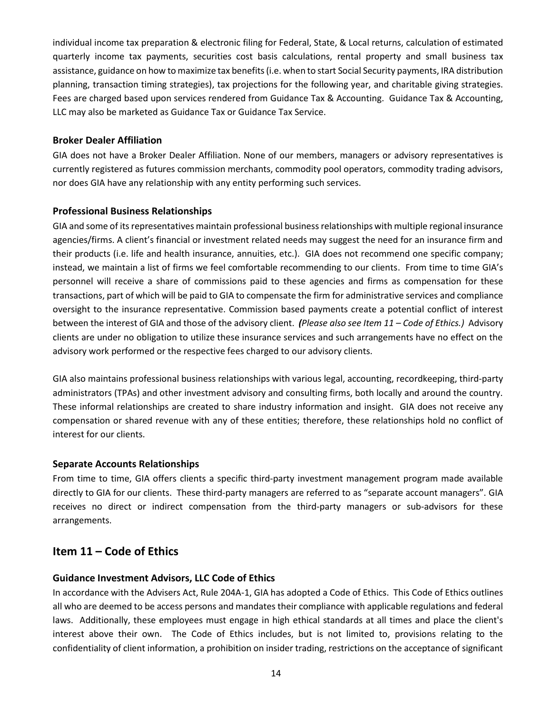individual income tax preparation & electronic filing for Federal, State, & Local returns, calculation of estimated quarterly income tax payments, securities cost basis calculations, rental property and small business tax assistance, guidance on how to maximize tax benefits (i.e. when to start Social Security payments, IRA distribution planning, transaction timing strategies), tax projections for the following year, and charitable giving strategies. Fees are charged based upon services rendered from Guidance Tax & Accounting. Guidance Tax & Accounting, LLC may also be marketed as Guidance Tax or Guidance Tax Service.

#### **Broker Dealer Affiliation**

GIA does not have a Broker Dealer Affiliation. None of our members, managers or advisory representatives is currently registered as futures commission merchants, commodity pool operators, commodity trading advisors, nor does GIA have any relationship with any entity performing such services.

#### **Professional Business Relationships**

GIA and some of its representatives maintain professional business relationships with multiple regional insurance agencies/firms. A client's financial or investment related needs may suggest the need for an insurance firm and their products (i.e. life and health insurance, annuities, etc.). GIA does not recommend one specific company; instead, we maintain a list of firms we feel comfortable recommending to our clients. From time to time GIA's personnel will receive a share of commissions paid to these agencies and firms as compensation for these transactions, part of which will be paid to GIA to compensate the firm for administrative services and compliance oversight to the insurance representative. Commission based payments create a potential conflict of interest between the interest of GIA and those of the advisory client. *(Please also see Item 11 – Code of Ethics.)* Advisory clients are under no obligation to utilize these insurance services and such arrangements have no effect on the advisory work performed or the respective fees charged to our advisory clients.

GIA also maintains professional business relationships with various legal, accounting, recordkeeping, third-party administrators (TPAs) and other investment advisory and consulting firms, both locally and around the country. These informal relationships are created to share industry information and insight. GIA does not receive any compensation or shared revenue with any of these entities; therefore, these relationships hold no conflict of interest for our clients.

#### **Separate Accounts Relationships**

From time to time, GIA offers clients a specific third-party investment management program made available directly to GIA for our clients. These third-party managers are referred to as "separate account managers". GIA receives no direct or indirect compensation from the third-party managers or sub-advisors for these arrangements.

# **Item 11 – Code of Ethics**

#### **Guidance Investment Advisors, LLC Code of Ethics**

In accordance with the Advisers Act, Rule 204A-1, GIA has adopted a Code of Ethics. This Code of Ethics outlines all who are deemed to be access persons and mandates their compliance with applicable regulations and federal laws. Additionally, these employees must engage in high ethical standards at all times and place the client's interest above their own. The Code of Ethics includes, but is not limited to, provisions relating to the confidentiality of client information, a prohibition on insider trading, restrictions on the acceptance of significant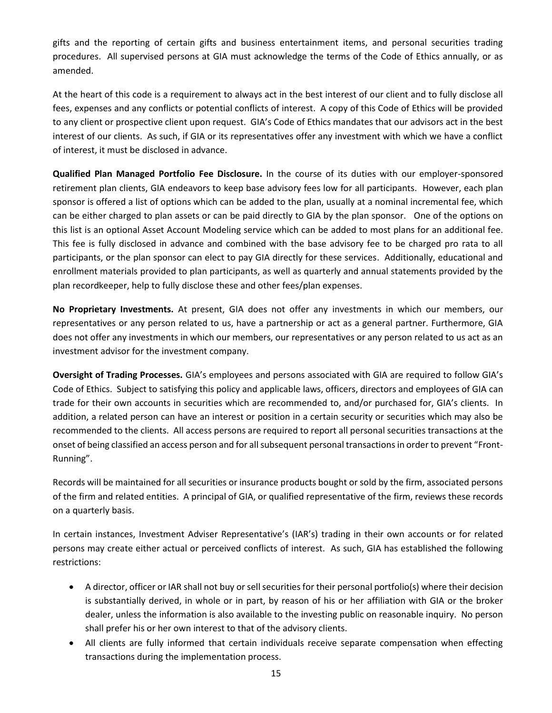gifts and the reporting of certain gifts and business entertainment items, and personal securities trading procedures. All supervised persons at GIA must acknowledge the terms of the Code of Ethics annually, or as amended.

At the heart of this code is a requirement to always act in the best interest of our client and to fully disclose all fees, expenses and any conflicts or potential conflicts of interest. A copy of this Code of Ethics will be provided to any client or prospective client upon request. GIA's Code of Ethics mandates that our advisors act in the best interest of our clients. As such, if GIA or its representatives offer any investment with which we have a conflict of interest, it must be disclosed in advance.

**Qualified Plan Managed Portfolio Fee Disclosure.** In the course of its duties with our employer-sponsored retirement plan clients, GIA endeavors to keep base advisory fees low for all participants. However, each plan sponsor is offered a list of options which can be added to the plan, usually at a nominal incremental fee, which can be either charged to plan assets or can be paid directly to GIA by the plan sponsor. One of the options on this list is an optional Asset Account Modeling service which can be added to most plans for an additional fee. This fee is fully disclosed in advance and combined with the base advisory fee to be charged pro rata to all participants, or the plan sponsor can elect to pay GIA directly for these services. Additionally, educational and enrollment materials provided to plan participants, as well as quarterly and annual statements provided by the plan recordkeeper, help to fully disclose these and other fees/plan expenses.

**No Proprietary Investments.** At present, GIA does not offer any investments in which our members, our representatives or any person related to us, have a partnership or act as a general partner. Furthermore, GIA does not offer any investments in which our members, our representatives or any person related to us act as an investment advisor for the investment company.

**Oversight of Trading Processes.** GIA's employees and persons associated with GIA are required to follow GIA's Code of Ethics. Subject to satisfying this policy and applicable laws, officers, directors and employees of GIA can trade for their own accounts in securities which are recommended to, and/or purchased for, GIA's clients. In addition, a related person can have an interest or position in a certain security or securities which may also be recommended to the clients. All access persons are required to report all personal securities transactions at the onset of being classified an access person and for all subsequent personal transactions in order to prevent "Front-Running".

Records will be maintained for all securities or insurance products bought or sold by the firm, associated persons of the firm and related entities. A principal of GIA, or qualified representative of the firm, reviews these records on a quarterly basis.

In certain instances, Investment Adviser Representative's (IAR's) trading in their own accounts or for related persons may create either actual or perceived conflicts of interest. As such, GIA has established the following restrictions:

- A director, officer or IAR shall not buy or sell securities for their personal portfolio(s) where their decision is substantially derived, in whole or in part, by reason of his or her affiliation with GIA or the broker dealer, unless the information is also available to the investing public on reasonable inquiry. No person shall prefer his or her own interest to that of the advisory clients.
- All clients are fully informed that certain individuals receive separate compensation when effecting transactions during the implementation process.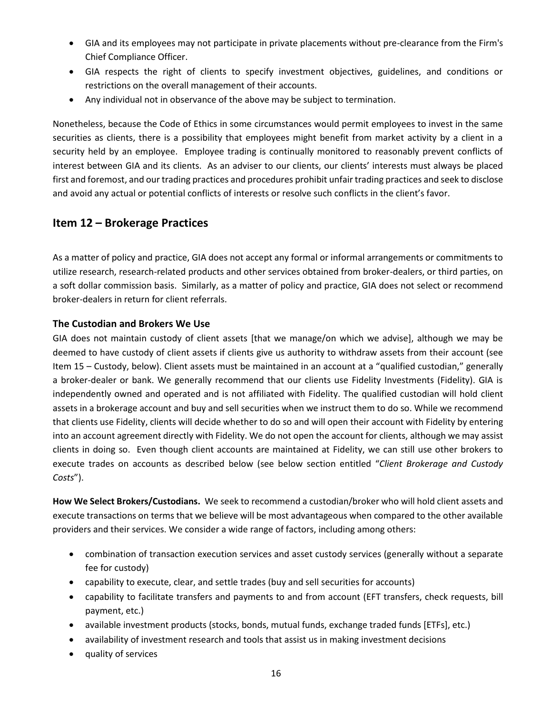- GIA and its employees may not participate in private placements without pre-clearance from the Firm's Chief Compliance Officer.
- GIA respects the right of clients to specify investment objectives, guidelines, and conditions or restrictions on the overall management of their accounts.
- Any individual not in observance of the above may be subject to termination.

Nonetheless, because the Code of Ethics in some circumstances would permit employees to invest in the same securities as clients, there is a possibility that employees might benefit from market activity by a client in a security held by an employee. Employee trading is continually monitored to reasonably prevent conflicts of interest between GIA and its clients. As an adviser to our clients, our clients' interests must always be placed first and foremost, and our trading practices and procedures prohibit unfair trading practices and seek to disclose and avoid any actual or potential conflicts of interests or resolve such conflicts in the client's favor.

# **Item 12 – Brokerage Practices**

As a matter of policy and practice, GIA does not accept any formal or informal arrangements or commitments to utilize research, research-related products and other services obtained from broker-dealers, or third parties, on a soft dollar commission basis. Similarly, as a matter of policy and practice, GIA does not select or recommend broker-dealers in return for client referrals.

#### **The Custodian and Brokers We Use**

GIA does not maintain custody of client assets [that we manage/on which we advise], although we may be deemed to have custody of client assets if clients give us authority to withdraw assets from their account (see Item 15 – Custody, below). Client assets must be maintained in an account at a "qualified custodian," generally a broker-dealer or bank. We generally recommend that our clients use Fidelity Investments (Fidelity). GIA is independently owned and operated and is not affiliated with Fidelity. The qualified custodian will hold client assets in a brokerage account and buy and sell securities when we instruct them to do so. While we recommend that clients use Fidelity, clients will decide whether to do so and will open their account with Fidelity by entering into an account agreement directly with Fidelity. We do not open the account for clients, although we may assist clients in doing so. Even though client accounts are maintained at Fidelity, we can still use other brokers to execute trades on accounts as described below (see below section entitled "*Client Brokerage and Custody Costs*").

**How We Select Brokers/Custodians.** We seek to recommend a custodian/broker who will hold client assets and execute transactions on terms that we believe will be most advantageous when compared to the other available providers and their services. We consider a wide range of factors, including among others:

- combination of transaction execution services and asset custody services (generally without a separate fee for custody)
- capability to execute, clear, and settle trades (buy and sell securities for accounts)
- capability to facilitate transfers and payments to and from account (EFT transfers, check requests, bill payment, etc.)
- available investment products (stocks, bonds, mutual funds, exchange traded funds [ETFs], etc.)
- availability of investment research and tools that assist us in making investment decisions
- quality of services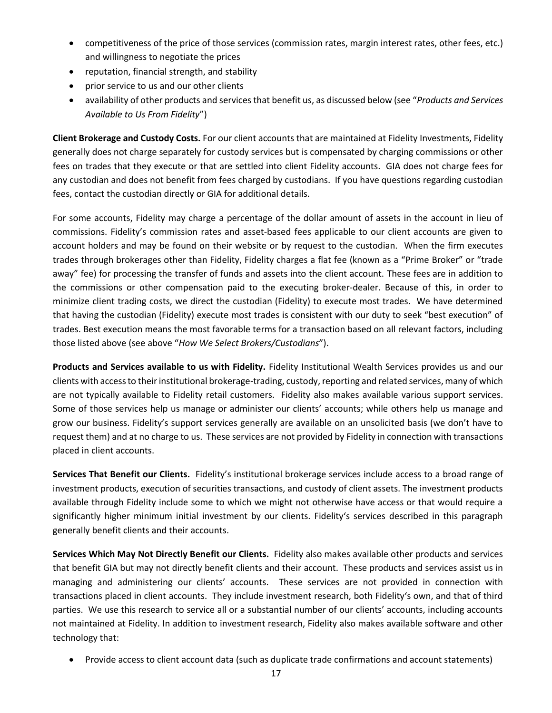- competitiveness of the price of those services (commission rates, margin interest rates, other fees, etc.) and willingness to negotiate the prices
- reputation, financial strength, and stability
- prior service to us and our other clients
- availability of other products and services that benefit us, as discussed below (see "*Products and Services Available to Us From Fidelity*")

**Client Brokerage and Custody Costs.** For our client accounts that are maintained at Fidelity Investments, Fidelity generally does not charge separately for custody services but is compensated by charging commissions or other fees on trades that they execute or that are settled into client Fidelity accounts. GIA does not charge fees for any custodian and does not benefit from fees charged by custodians. If you have questions regarding custodian fees, contact the custodian directly or GIA for additional details.

For some accounts, Fidelity may charge a percentage of the dollar amount of assets in the account in lieu of commissions. Fidelity's commission rates and asset-based fees applicable to our client accounts are given to account holders and may be found on their website or by request to the custodian. When the firm executes trades through brokerages other than Fidelity, Fidelity charges a flat fee (known as a "Prime Broker" or "trade away" fee) for processing the transfer of funds and assets into the client account. These fees are in addition to the commissions or other compensation paid to the executing broker-dealer. Because of this, in order to minimize client trading costs, we direct the custodian (Fidelity) to execute most trades. We have determined that having the custodian (Fidelity) execute most trades is consistent with our duty to seek "best execution" of trades. Best execution means the most favorable terms for a transaction based on all relevant factors, including those listed above (see above "*How We Select Brokers/Custodians*").

**Products and Services available to us with Fidelity.** Fidelity Institutional Wealth Services provides us and our clients with access to their institutional brokerage-trading, custody, reporting and related services, many of which are not typically available to Fidelity retail customers. Fidelity also makes available various support services. Some of those services help us manage or administer our clients' accounts; while others help us manage and grow our business. Fidelity's support services generally are available on an unsolicited basis (we don't have to request them) and at no charge to us. These services are not provided by Fidelity in connection with transactions placed in client accounts.

**Services That Benefit our Clients.** Fidelity's institutional brokerage services include access to a broad range of investment products, execution of securities transactions, and custody of client assets. The investment products available through Fidelity include some to which we might not otherwise have access or that would require a significantly higher minimum initial investment by our clients. Fidelity's services described in this paragraph generally benefit clients and their accounts.

**Services Which May Not Directly Benefit our Clients.** Fidelity also makes available other products and services that benefit GIA but may not directly benefit clients and their account. These products and services assist us in managing and administering our clients' accounts. These services are not provided in connection with transactions placed in client accounts. They include investment research, both Fidelity's own, and that of third parties. We use this research to service all or a substantial number of our clients' accounts, including accounts not maintained at Fidelity. In addition to investment research, Fidelity also makes available software and other technology that:

• Provide access to client account data (such as duplicate trade confirmations and account statements)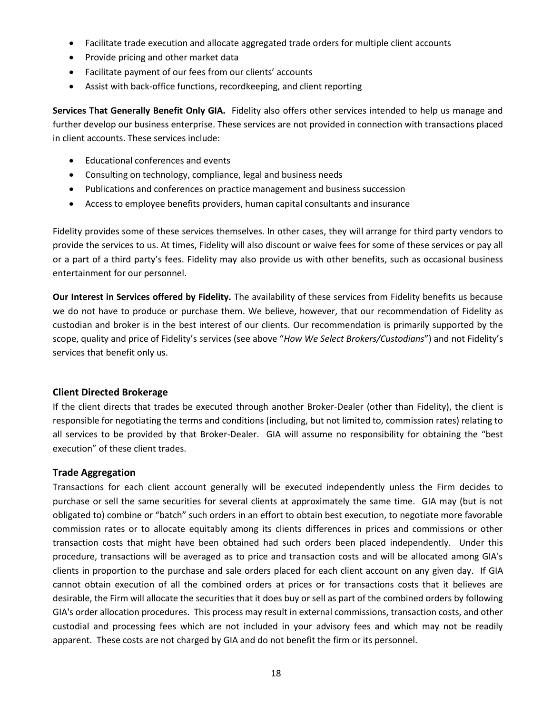- Facilitate trade execution and allocate aggregated trade orders for multiple client accounts
- Provide pricing and other market data
- Facilitate payment of our fees from our clients' accounts
- Assist with back-office functions, recordkeeping, and client reporting

**Services That Generally Benefit Only GIA.** Fidelity also offers other services intended to help us manage and further develop our business enterprise. These services are not provided in connection with transactions placed in client accounts. These services include:

- Educational conferences and events
- Consulting on technology, compliance, legal and business needs
- Publications and conferences on practice management and business succession
- Access to employee benefits providers, human capital consultants and insurance

Fidelity provides some of these services themselves. In other cases, they will arrange for third party vendors to provide the services to us. At times, Fidelity will also discount or waive fees for some of these services or pay all or a part of a third party's fees. Fidelity may also provide us with other benefits, such as occasional business entertainment for our personnel.

**Our Interest in Services offered by Fidelity.** The availability of these services from Fidelity benefits us because we do not have to produce or purchase them. We believe, however, that our recommendation of Fidelity as custodian and broker is in the best interest of our clients. Our recommendation is primarily supported by the scope, quality and price of Fidelity's services (see above "*How We Select Brokers/Custodians*") and not Fidelity's services that benefit only us.

#### **Client Directed Brokerage**

If the client directs that trades be executed through another Broker-Dealer (other than Fidelity), the client is responsible for negotiating the terms and conditions (including, but not limited to, commission rates) relating to all services to be provided by that Broker-Dealer. GIA will assume no responsibility for obtaining the "best execution" of these client trades.

#### **Trade Aggregation**

Transactions for each client account generally will be executed independently unless the Firm decides to purchase or sell the same securities for several clients at approximately the same time. GIA may (but is not obligated to) combine or "batch" such orders in an effort to obtain best execution, to negotiate more favorable commission rates or to allocate equitably among its clients differences in prices and commissions or other transaction costs that might have been obtained had such orders been placed independently. Under this procedure, transactions will be averaged as to price and transaction costs and will be allocated among GIA's clients in proportion to the purchase and sale orders placed for each client account on any given day. If GIA cannot obtain execution of all the combined orders at prices or for transactions costs that it believes are desirable, the Firm will allocate the securities that it does buy or sell as part of the combined orders by following GIA's order allocation procedures. This process may result in external commissions, transaction costs, and other custodial and processing fees which are not included in your advisory fees and which may not be readily apparent. These costs are not charged by GIA and do not benefit the firm or its personnel.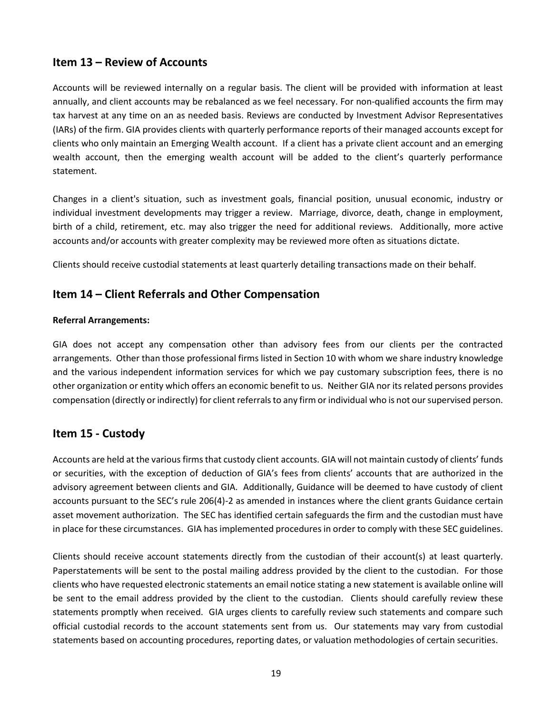# **Item 13 – Review of Accounts**

Accounts will be reviewed internally on a regular basis. The client will be provided with information at least annually, and client accounts may be rebalanced as we feel necessary. For non-qualified accounts the firm may tax harvest at any time on an as needed basis. Reviews are conducted by Investment Advisor Representatives (IARs) of the firm. GIA provides clients with quarterly performance reports of their managed accounts except for clients who only maintain an Emerging Wealth account. If a client has a private client account and an emerging wealth account, then the emerging wealth account will be added to the client's quarterly performance statement.

Changes in a client's situation, such as investment goals, financial position, unusual economic, industry or individual investment developments may trigger a review. Marriage, divorce, death, change in employment, birth of a child, retirement, etc. may also trigger the need for additional reviews. Additionally, more active accounts and/or accounts with greater complexity may be reviewed more often as situations dictate.

Clients should receive custodial statements at least quarterly detailing transactions made on their behalf.

# **Item 14 – Client Referrals and Other Compensation**

#### **Referral Arrangements:**

GIA does not accept any compensation other than advisory fees from our clients per the contracted arrangements. Other than those professional firms listed in Section 10 with whom we share industry knowledge and the various independent information services for which we pay customary subscription fees, there is no other organization or entity which offers an economic benefit to us. Neither GIA nor its related persons provides compensation (directly or indirectly) for client referrals to any firm or individual who is not our supervised person.

# **Item 15 - Custody**

Accounts are held at the various firms that custody client accounts. GIA will not maintain custody of clients' funds or securities, with the exception of deduction of GIA's fees from clients' accounts that are authorized in the advisory agreement between clients and GIA. Additionally, Guidance will be deemed to have custody of client accounts pursuant to the SEC's rule 206(4)-2 as amended in instances where the client grants Guidance certain asset movement authorization. The SEC has identified certain safeguards the firm and the custodian must have in place for these circumstances. GIA has implemented procedures in order to comply with these SEC guidelines.

Clients should receive account statements directly from the custodian of their account(s) at least quarterly. Paperstatements will be sent to the postal mailing address provided by the client to the custodian. For those clients who have requested electronic statements an email notice stating a new statement is available online will be sent to the email address provided by the client to the custodian. Clients should carefully review these statements promptly when received. GIA urges clients to carefully review such statements and compare such official custodial records to the account statements sent from us. Our statements may vary from custodial statements based on accounting procedures, reporting dates, or valuation methodologies of certain securities.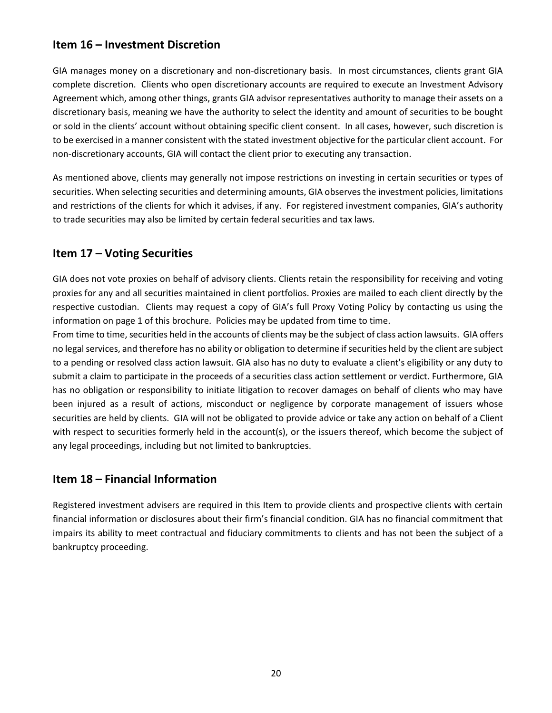# **Item 16 – Investment Discretion**

GIA manages money on a discretionary and non-discretionary basis. In most circumstances, clients grant GIA complete discretion. Clients who open discretionary accounts are required to execute an Investment Advisory Agreement which, among other things, grants GIA advisor representatives authority to manage their assets on a discretionary basis, meaning we have the authority to select the identity and amount of securities to be bought or sold in the clients' account without obtaining specific client consent. In all cases, however, such discretion is to be exercised in a manner consistent with the stated investment objective for the particular client account. For non-discretionary accounts, GIA will contact the client prior to executing any transaction.

As mentioned above, clients may generally not impose restrictions on investing in certain securities or types of securities. When selecting securities and determining amounts, GIA observes the investment policies, limitations and restrictions of the clients for which it advises, if any. For registered investment companies, GIA's authority to trade securities may also be limited by certain federal securities and tax laws.

# **Item 17 – Voting Securities**

GIA does not vote proxies on behalf of advisory clients. Clients retain the responsibility for receiving and voting proxies for any and all securities maintained in client portfolios. Proxies are mailed to each client directly by the respective custodian. Clients may request a copy of GIA's full Proxy Voting Policy by contacting us using the information on page 1 of this brochure. Policies may be updated from time to time.

From time to time, securities held in the accounts of clients may be the subject of class action lawsuits. GIA offers no legal services, and therefore has no ability or obligation to determine if securities held by the client are subject to a pending or resolved class action lawsuit. GIA also has no duty to evaluate a client's eligibility or any duty to submit a claim to participate in the proceeds of a securities class action settlement or verdict. Furthermore, GIA has no obligation or responsibility to initiate litigation to recover damages on behalf of clients who may have been injured as a result of actions, misconduct or negligence by corporate management of issuers whose securities are held by clients. GIA will not be obligated to provide advice or take any action on behalf of a Client with respect to securities formerly held in the account(s), or the issuers thereof, which become the subject of any legal proceedings, including but not limited to bankruptcies.

# **Item 18 – Financial Information**

Registered investment advisers are required in this Item to provide clients and prospective clients with certain financial information or disclosures about their firm's financial condition. GIA has no financial commitment that impairs its ability to meet contractual and fiduciary commitments to clients and has not been the subject of a bankruptcy proceeding.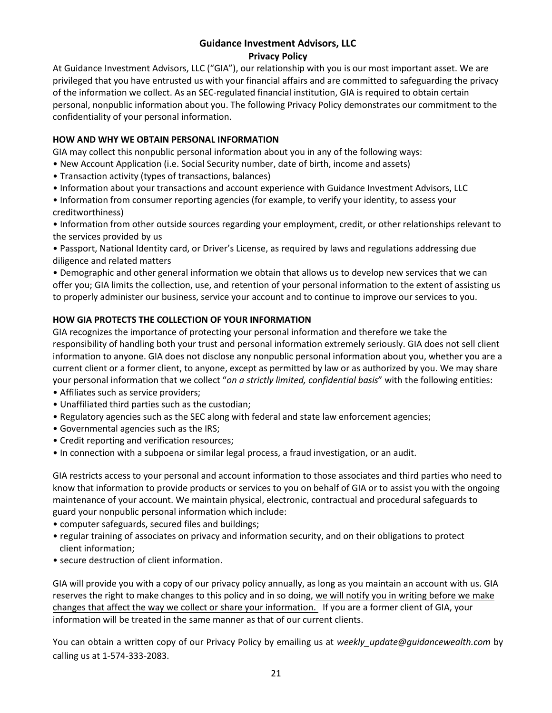# **Guidance Investment Advisors, LLC**

#### **Privacy Policy**

At Guidance Investment Advisors, LLC ("GIA"), our relationship with you is our most important asset. We are privileged that you have entrusted us with your financial affairs and are committed to safeguarding the privacy of the information we collect. As an SEC-regulated financial institution, GIA is required to obtain certain personal, nonpublic information about you. The following Privacy Policy demonstrates our commitment to the confidentiality of your personal information.

#### **HOW AND WHY WE OBTAIN PERSONAL INFORMATION**

GIA may collect this nonpublic personal information about you in any of the following ways:

- New Account Application (i.e. Social Security number, date of birth, income and assets)
- Transaction activity (types of transactions, balances)
- Information about your transactions and account experience with Guidance Investment Advisors, LLC
- Information from consumer reporting agencies (for example, to verify your identity, to assess your creditworthiness)

• Information from other outside sources regarding your employment, credit, or other relationships relevant to the services provided by us

• Passport, National Identity card, or Driver's License, as required by laws and regulations addressing due diligence and related matters

• Demographic and other general information we obtain that allows us to develop new services that we can offer you; GIA limits the collection, use, and retention of your personal information to the extent of assisting us to properly administer our business, service your account and to continue to improve our services to you.

#### **HOW GIA PROTECTS THE COLLECTION OF YOUR INFORMATION**

GIA recognizes the importance of protecting your personal information and therefore we take the responsibility of handling both your trust and personal information extremely seriously. GIA does not sell client information to anyone. GIA does not disclose any nonpublic personal information about you, whether you are a current client or a former client, to anyone, except as permitted by law or as authorized by you. We may share your personal information that we collect "*on a strictly limited, confidential basis*" with the following entities:

- Affiliates such as service providers;
- Unaffiliated third parties such as the custodian;
- Regulatory agencies such as the SEC along with federal and state law enforcement agencies;
- Governmental agencies such as the IRS;
- Credit reporting and verification resources;
- In connection with a subpoena or similar legal process, a fraud investigation, or an audit.

GIA restricts access to your personal and account information to those associates and third parties who need to know that information to provide products or services to you on behalf of GIA or to assist you with the ongoing maintenance of your account. We maintain physical, electronic, contractual and procedural safeguards to guard your nonpublic personal information which include:

- computer safeguards, secured files and buildings;
- regular training of associates on privacy and information security, and on their obligations to protect client information;
- secure destruction of client information.

GIA will provide you with a copy of our privacy policy annually, as long as you maintain an account with us. GIA reserves the right to make changes to this policy and in so doing, we will notify you in writing before we make changes that affect the way we collect or share your information. If you are a former client of GIA, your information will be treated in the same manner as that of our current clients.

You can obtain a written copy of our Privacy Policy by emailing us at *weekly\_update@guidancewealth.com* by calling us at 1-574-333-2083.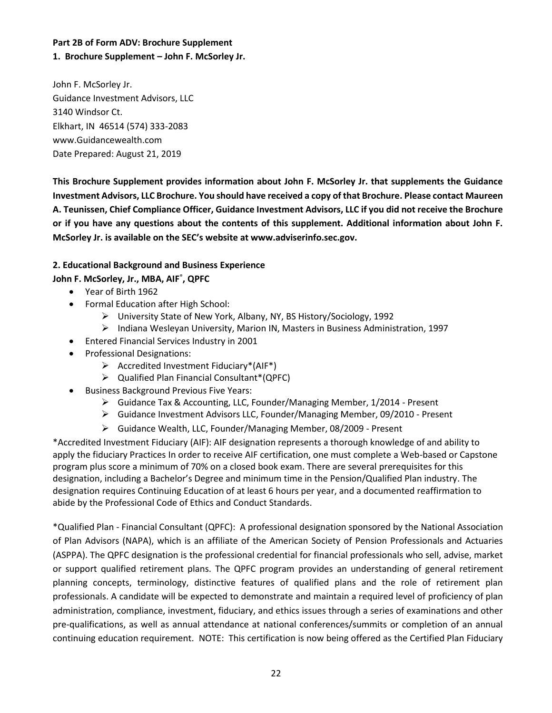#### **Part 2B of Form ADV: Brochure Supplement**

#### **1. Brochure Supplement – John F. McSorley Jr.**

John F. McSorley Jr. Guidance Investment Advisors, LLC 3140 Windsor Ct. Elkhart, IN 46514 (574) 333-2083 www.Guidancewealth.com Date Prepared: August 21, 2019

**This Brochure Supplement provides information about John F. McSorley Jr. that supplements the Guidance Investment Advisors, LLC Brochure. You should have received a copy of that Brochure. Please contact Maureen A. Teunissen, Chief Compliance Officer, Guidance Investment Advisors, LLC if you did not receive the Brochure or if you have any questions about the contents of this supplement. Additional information about John F. McSorley Jr. is available on the SEC's website at www.adviserinfo.sec.gov.**

#### **2. Educational Background and Business Experience**

#### **John F. McSorley, Jr., MBA, AIF**® **, QPFC**

- Year of Birth 1962
- Formal Education after High School:
	- ➢ University State of New York, Albany, NY, BS History/Sociology, 1992
	- ➢ Indiana Wesleyan University, Marion IN, Masters in Business Administration, 1997
- Entered Financial Services Industry in 2001
- Professional Designations:
	- $\triangleright$  Accredited Investment Fiduciary\*(AIF\*)
	- ➢ Qualified Plan Financial Consultant\*(QPFC)
- Business Background Previous Five Years:
	- ➢ Guidance Tax & Accounting, LLC, Founder/Managing Member, 1/2014 Present
	- ➢ Guidance Investment Advisors LLC, Founder/Managing Member, 09/2010 Present
	- ➢ Guidance Wealth, LLC, Founder/Managing Member, 08/2009 Present

\*Accredited Investment Fiduciary (AIF): AIF designation represents a thorough knowledge of and ability to apply the fiduciary Practices In order to receive AIF certification, one must complete a Web-based or Capstone program plus score a minimum of 70% on a closed book exam. There are several prerequisites for this designation, including a Bachelor's Degree and minimum time in the Pension/Qualified Plan industry. The designation requires Continuing Education of at least 6 hours per year, and a documented reaffirmation to abide by the Professional Code of Ethics and Conduct Standards.

\*Qualified Plan - Financial Consultant (QPFC): A professional designation sponsored by the National Association of Plan Advisors (NAPA), which is an affiliate of the American Society of Pension Professionals and Actuaries (ASPPA). The QPFC designation is the professional credential for financial professionals who sell, advise, market or support qualified retirement plans. The QPFC program provides an understanding of general retirement planning concepts, terminology, distinctive features of qualified plans and the role of retirement plan professionals. A candidate will be expected to demonstrate and maintain a required level of proficiency of plan administration, compliance, investment, fiduciary, and ethics issues through a series of examinations and other pre-qualifications, as well as annual attendance at national conferences/summits or completion of an annual continuing education requirement. NOTE: This certification is now being offered as the Certified Plan Fiduciary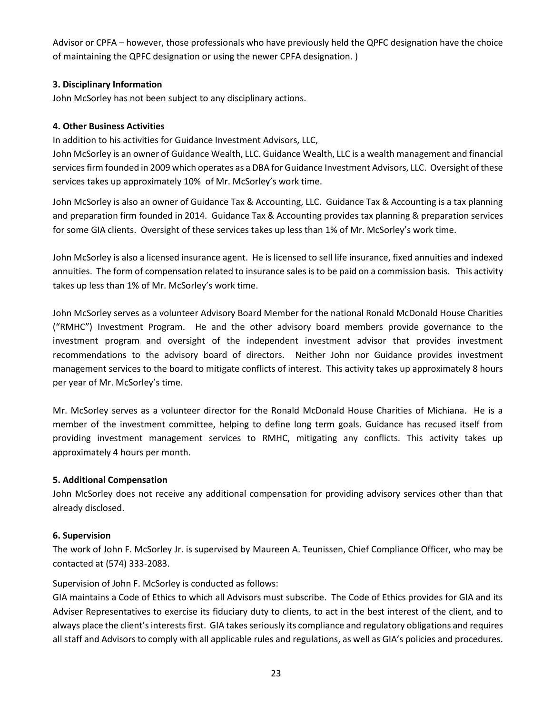Advisor or CPFA – however, those professionals who have previously held the QPFC designation have the choice of maintaining the QPFC designation or using the newer CPFA designation. )

#### **3. Disciplinary Information**

John McSorley has not been subject to any disciplinary actions.

#### **4. Other Business Activities**

In addition to his activities for Guidance Investment Advisors, LLC,

John McSorley is an owner of Guidance Wealth, LLC. Guidance Wealth, LLC is a wealth management and financial services firm founded in 2009 which operates as a DBA for Guidance Investment Advisors, LLC. Oversight of these services takes up approximately 10% of Mr. McSorley's work time.

John McSorley is also an owner of Guidance Tax & Accounting, LLC. Guidance Tax & Accounting is a tax planning and preparation firm founded in 2014. Guidance Tax & Accounting provides tax planning & preparation services for some GIA clients. Oversight of these services takes up less than 1% of Mr. McSorley's work time.

John McSorley is also a licensed insurance agent. He is licensed to sell life insurance, fixed annuities and indexed annuities. The form of compensation related to insurance sales is to be paid on a commission basis. This activity takes up less than 1% of Mr. McSorley's work time.

John McSorley serves as a volunteer Advisory Board Member for the national Ronald McDonald House Charities ("RMHC") Investment Program. He and the other advisory board members provide governance to the investment program and oversight of the independent investment advisor that provides investment recommendations to the advisory board of directors. Neither John nor Guidance provides investment management services to the board to mitigate conflicts of interest. This activity takes up approximately 8 hours per year of Mr. McSorley's time.

Mr. McSorley serves as a volunteer director for the Ronald McDonald House Charities of Michiana. He is a member of the investment committee, helping to define long term goals. Guidance has recused itself from providing investment management services to RMHC, mitigating any conflicts. This activity takes up approximately 4 hours per month.

#### **5. Additional Compensation**

John McSorley does not receive any additional compensation for providing advisory services other than that already disclosed.

#### **6. Supervision**

The work of John F. McSorley Jr. is supervised by Maureen A. Teunissen, Chief Compliance Officer, who may be contacted at (574) 333-2083.

Supervision of John F. McSorley is conducted as follows:

GIA maintains a Code of Ethics to which all Advisors must subscribe. The Code of Ethics provides for GIA and its Adviser Representatives to exercise its fiduciary duty to clients, to act in the best interest of the client, and to always place the client's interests first. GIA takes seriously its compliance and regulatory obligations and requires all staff and Advisors to comply with all applicable rules and regulations, as well as GIA's policies and procedures.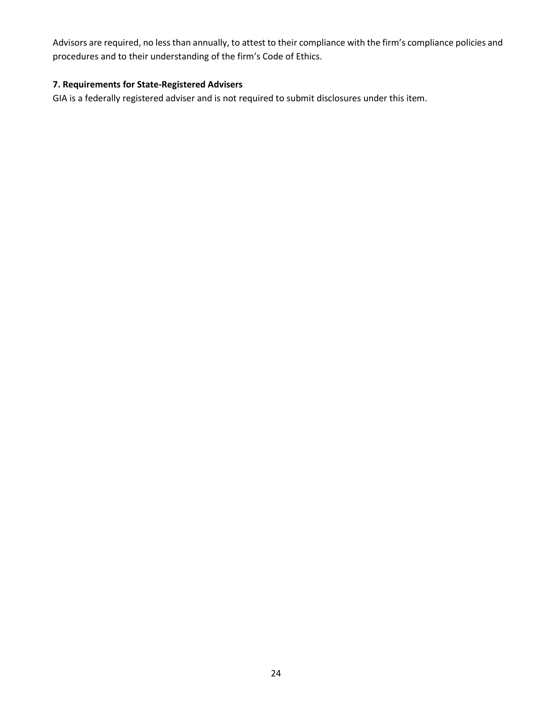Advisors are required, no less than annually, to attest to their compliance with the firm's compliance policies and procedures and to their understanding of the firm's Code of Ethics.

#### **7. Requirements for State-Registered Advisers**

GIA is a federally registered adviser and is not required to submit disclosures under this item.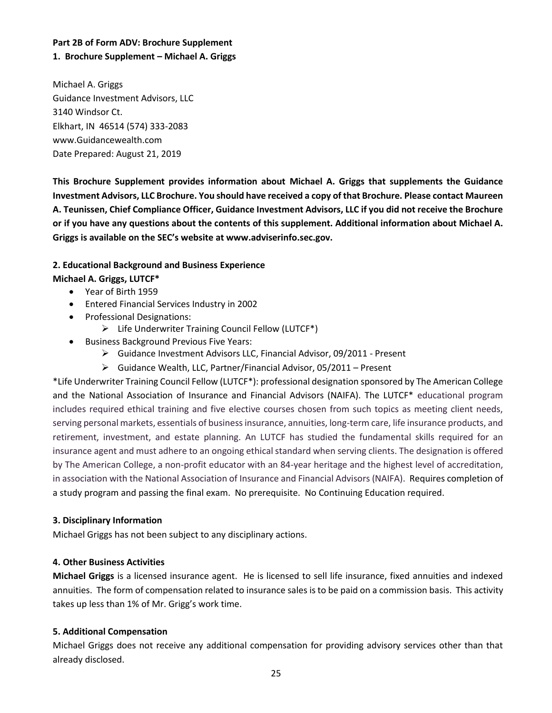# **Part 2B of Form ADV: Brochure Supplement**

#### **1. Brochure Supplement – Michael A. Griggs**

Michael A. Griggs Guidance Investment Advisors, LLC 3140 Windsor Ct. Elkhart, IN 46514 (574) 333-2083 www.Guidancewealth.com Date Prepared: August 21, 2019

**This Brochure Supplement provides information about Michael A. Griggs that supplements the Guidance Investment Advisors, LLC Brochure. You should have received a copy of that Brochure. Please contact Maureen A. Teunissen, Chief Compliance Officer, Guidance Investment Advisors, LLC if you did not receive the Brochure or if you have any questions about the contents of this supplement. Additional information about Michael A. Griggs is available on the SEC's website at www.adviserinfo.sec.gov.**

#### **2. Educational Background and Business Experience**

#### **Michael A. Griggs, LUTCF\***

- Year of Birth 1959
- Entered Financial Services Industry in 2002
- Professional Designations:
	- ➢ Life Underwriter Training Council Fellow (LUTCF\*)
- Business Background Previous Five Years:
	- ➢ Guidance Investment Advisors LLC, Financial Advisor, 09/2011 Present
	- ➢ Guidance Wealth, LLC, Partner/Financial Advisor, 05/2011 Present

\*Life Underwriter Training Council Fellow (LUTCF\*): professional designation sponsored by The American College and the National Association of Insurance and Financial Advisors (NAIFA). The LUTCF\* educational program includes required ethical training and five elective courses chosen from such topics as meeting client needs, serving personal markets, essentials of business insurance, annuities, long-term care, life insurance products, and retirement, investment, and estate planning. An LUTCF has studied the fundamental skills required for an insurance agent and must adhere to an ongoing ethical standard when serving clients. The designation is offered by The American College, a non-profit educator with an 84-year heritage and the highest level of accreditation, in association with the National Association of Insurance and Financial Advisors (NAIFA). Requires completion of a study program and passing the final exam. No prerequisite. No Continuing Education required.

#### **3. Disciplinary Information**

Michael Griggs has not been subject to any disciplinary actions.

#### **4. Other Business Activities**

**Michael Griggs** is a licensed insurance agent. He is licensed to sell life insurance, fixed annuities and indexed annuities. The form of compensation related to insurance sales is to be paid on a commission basis. This activity takes up less than 1% of Mr. Grigg's work time.

#### **5. Additional Compensation**

Michael Griggs does not receive any additional compensation for providing advisory services other than that already disclosed.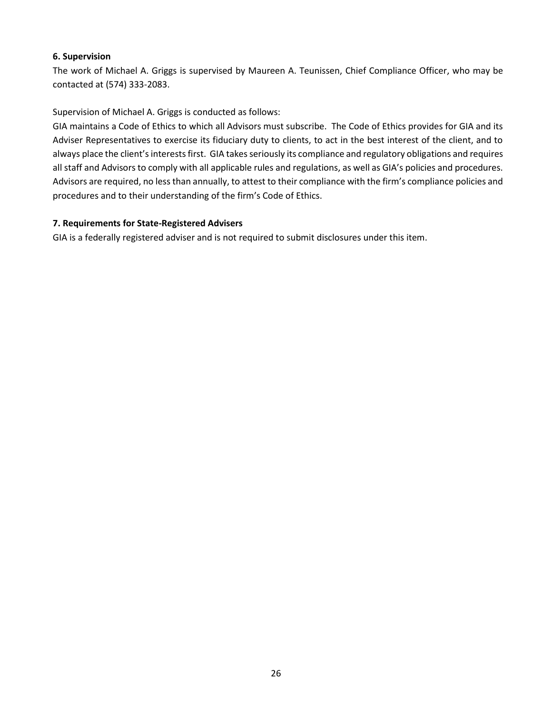#### **6. Supervision**

The work of Michael A. Griggs is supervised by Maureen A. Teunissen, Chief Compliance Officer, who may be contacted at (574) 333-2083.

Supervision of Michael A. Griggs is conducted as follows:

GIA maintains a Code of Ethics to which all Advisors must subscribe. The Code of Ethics provides for GIA and its Adviser Representatives to exercise its fiduciary duty to clients, to act in the best interest of the client, and to always place the client's interests first. GIA takes seriously its compliance and regulatory obligations and requires all staff and Advisors to comply with all applicable rules and regulations, as well as GIA's policies and procedures. Advisors are required, no less than annually, to attest to their compliance with the firm's compliance policies and procedures and to their understanding of the firm's Code of Ethics.

#### **7. Requirements for State-Registered Advisers**

GIA is a federally registered adviser and is not required to submit disclosures under this item.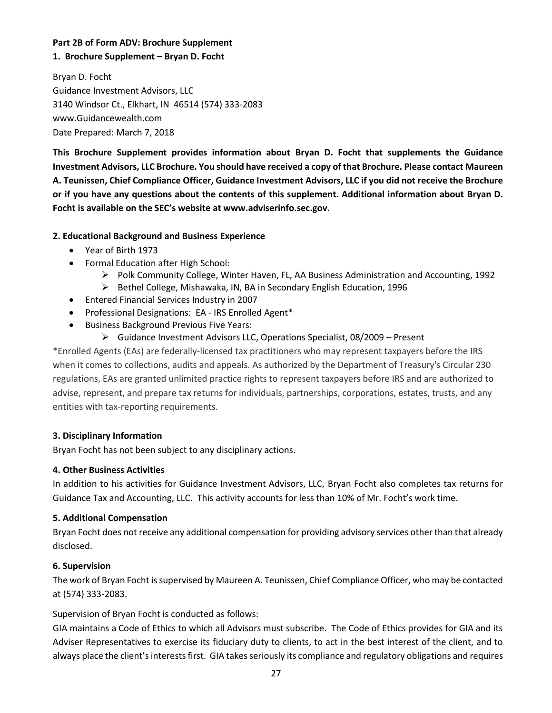#### **Part 2B of Form ADV: Brochure Supplement**

#### **1. Brochure Supplement – Bryan D. Focht**

Bryan D. Focht Guidance Investment Advisors, LLC 3140 Windsor Ct., Elkhart, IN 46514 (574) 333-2083 www.Guidancewealth.com Date Prepared: March 7, 2018

**This Brochure Supplement provides information about Bryan D. Focht that supplements the Guidance Investment Advisors, LLC Brochure. You should have received a copy of that Brochure. Please contact Maureen A. Teunissen, Chief Compliance Officer, Guidance Investment Advisors, LLC if you did not receive the Brochure or if you have any questions about the contents of this supplement. Additional information about Bryan D. Focht is available on the SEC's website at www.adviserinfo.sec.gov.**

#### **2. Educational Background and Business Experience**

- Year of Birth 1973
- Formal Education after High School:
	- ➢ Polk Community College, Winter Haven, FL, AA Business Administration and Accounting, 1992
	- ➢ Bethel College, Mishawaka, IN, BA in Secondary English Education, 1996
- Entered Financial Services Industry in 2007
- Professional Designations: EA IRS Enrolled Agent\*
- Business Background Previous Five Years:
	- ➢ Guidance Investment Advisors LLC, Operations Specialist, 08/2009 Present

\*Enrolled Agents (EAs) are federally-licensed tax practitioners who may represent taxpayers before the IRS when it comes to collections, audits and appeals. As authorized by the Department of Treasury's Circular 230 regulations, EAs are granted unlimited practice rights to represent taxpayers before IRS and are authorized to advise, represent, and prepare tax returns for individuals, partnerships, corporations, estates, trusts, and any entities with tax-reporting requirements.

#### **3. Disciplinary Information**

Bryan Focht has not been subject to any disciplinary actions.

#### **4. Other Business Activities**

In addition to his activities for Guidance Investment Advisors, LLC, Bryan Focht also completes tax returns for Guidance Tax and Accounting, LLC. This activity accounts for less than 10% of Mr. Focht's work time.

#### **5. Additional Compensation**

Bryan Focht does not receive any additional compensation for providing advisory services other than that already disclosed.

#### **6. Supervision**

The work of Bryan Focht is supervised by Maureen A. Teunissen, Chief Compliance Officer, who may be contacted at (574) 333-2083.

Supervision of Bryan Focht is conducted as follows:

GIA maintains a Code of Ethics to which all Advisors must subscribe. The Code of Ethics provides for GIA and its Adviser Representatives to exercise its fiduciary duty to clients, to act in the best interest of the client, and to always place the client's interests first. GIA takes seriously its compliance and regulatory obligations and requires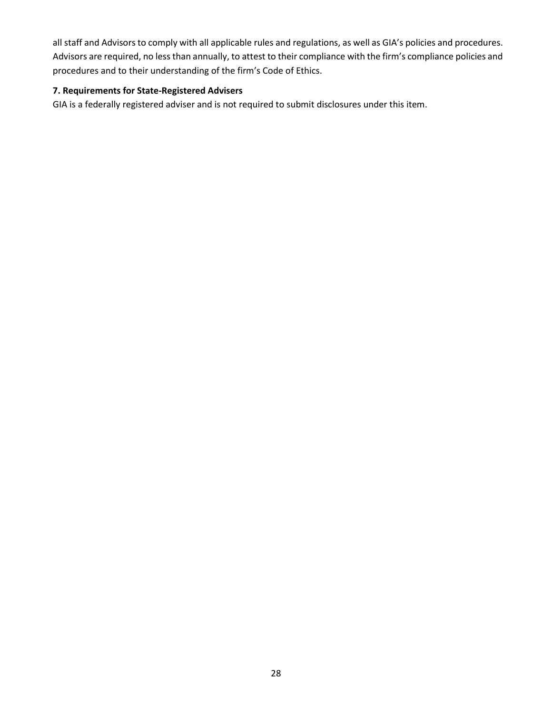all staff and Advisors to comply with all applicable rules and regulations, as well as GIA's policies and procedures. Advisors are required, no less than annually, to attest to their compliance with the firm's compliance policies and procedures and to their understanding of the firm's Code of Ethics.

# **7. Requirements for State-Registered Advisers**

GIA is a federally registered adviser and is not required to submit disclosures under this item.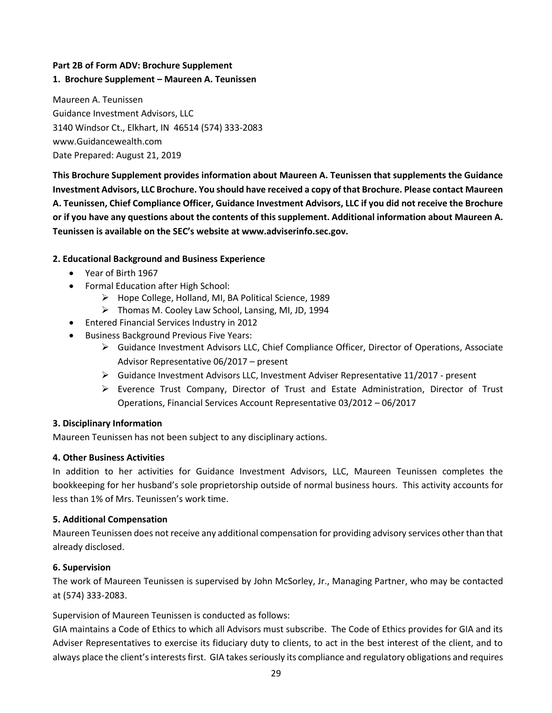#### **Part 2B of Form ADV: Brochure Supplement**

#### **1. Brochure Supplement – Maureen A. Teunissen**

Maureen A. Teunissen Guidance Investment Advisors, LLC 3140 Windsor Ct., Elkhart, IN 46514 (574) 333-2083 www.Guidancewealth.com Date Prepared: August 21, 2019

**This Brochure Supplement provides information about Maureen A. Teunissen that supplements the Guidance Investment Advisors, LLC Brochure. You should have received a copy of that Brochure. Please contact Maureen A. Teunissen, Chief Compliance Officer, Guidance Investment Advisors, LLC if you did not receive the Brochure or if you have any questions about the contents of this supplement. Additional information about Maureen A. Teunissen is available on the SEC's website at www.adviserinfo.sec.gov.**

#### **2. Educational Background and Business Experience**

- Year of Birth 1967
- Formal Education after High School:
	- ➢ Hope College, Holland, MI, BA Political Science, 1989
	- ➢ Thomas M. Cooley Law School, Lansing, MI, JD, 1994
- Entered Financial Services Industry in 2012
- Business Background Previous Five Years:
	- ➢ Guidance Investment Advisors LLC, Chief Compliance Officer, Director of Operations, Associate Advisor Representative 06/2017 – present
	- ➢ Guidance Investment Advisors LLC, Investment Adviser Representative 11/2017 present
	- ➢ Everence Trust Company, Director of Trust and Estate Administration, Director of Trust Operations, Financial Services Account Representative 03/2012 – 06/2017

#### **3. Disciplinary Information**

Maureen Teunissen has not been subject to any disciplinary actions.

#### **4. Other Business Activities**

In addition to her activities for Guidance Investment Advisors, LLC, Maureen Teunissen completes the bookkeeping for her husband's sole proprietorship outside of normal business hours. This activity accounts for less than 1% of Mrs. Teunissen's work time.

#### **5. Additional Compensation**

Maureen Teunissen does not receive any additional compensation for providing advisory services other than that already disclosed.

#### **6. Supervision**

The work of Maureen Teunissen is supervised by John McSorley, Jr., Managing Partner, who may be contacted at (574) 333-2083.

Supervision of Maureen Teunissen is conducted as follows:

GIA maintains a Code of Ethics to which all Advisors must subscribe. The Code of Ethics provides for GIA and its Adviser Representatives to exercise its fiduciary duty to clients, to act in the best interest of the client, and to always place the client's interests first. GIA takes seriously its compliance and regulatory obligations and requires